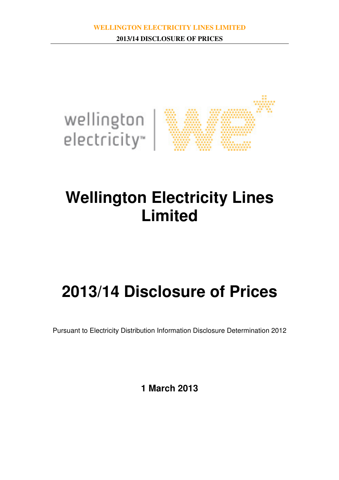

# **Wellington Electricity Lines Limited**

# **2013/14 Disclosure of Prices**

Pursuant to Electricity Distribution Information Disclosure Determination 2012

**1 March 2013**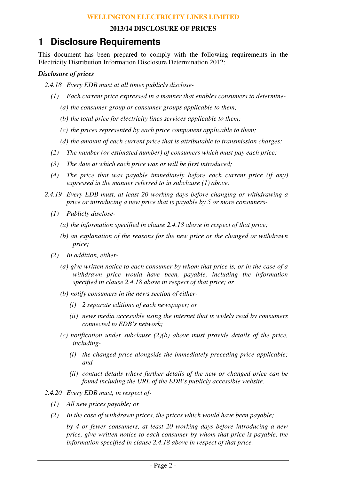# **1 Disclosure Requirements**

This document has been prepared to comply with the following requirements in the Electricity Distribution Information Disclosure Determination 2012:

#### *Disclosure of prices*

- *2.4.18 Every EDB must at all times publicly disclose-* 
	- *(1) Each current price expressed in a manner that enables consumers to determine-* 
		- *(a) the consumer group or consumer groups applicable to them;*
		- *(b) the total price for electricity lines services applicable to them;*
		- *(c) the prices represented by each price component applicable to them;*
		- *(d) the amount of each current price that is attributable to transmission charges;*
	- *(2) The number (or estimated number) of consumers which must pay each price;*
	- *(3) The date at which each price was or will be first introduced;*
	- *(4) The price that was payable immediately before each current price (if any) expressed in the manner referred to in subclause (1) above.*
- *2.4.19 Every EDB must, at least 20 working days before changing or withdrawing a price or introducing a new price that is payable by 5 or more consumers-* 
	- *(1) Publicly disclose-* 
		- *(a) the information specified in clause 2.4.18 above in respect of that price;*
		- *(b) an explanation of the reasons for the new price or the changed or withdrawn price;*
	- *(2) In addition, either-* 
		- *(a) give written notice to each consumer by whom that price is, or in the case of a withdrawn price would have been, payable, including the information specified in clause 2.4.18 above in respect of that price; or*
		- *(b) notify consumers in the news section of either-* 
			- *(i) 2 separate editions of each newspaper; or*
			- *(ii) news media accessible using the internet that is widely read by consumers connected to EDB's network;*
		- *(c) notification under subclause (2)(b) above must provide details of the price, including-* 
			- *(i) the changed price alongside the immediately preceding price applicable; and*
			- *(ii) contact details where further details of the new or changed price can be found including the URL of the EDB's publicly accessible website.*
- *2.4.20 Every EDB must, in respect of-* 
	- *(1) All new prices payable; or*
	- *(2) In the case of withdrawn prices, the prices which would have been payable;*

 *by 4 or fewer consumers, at least 20 working days before introducing a new price, give written notice to each consumer by whom that price is payable, the information specified in clause 2.4.18 above in respect of that price.*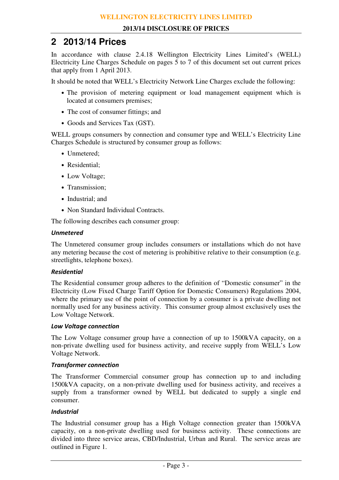# **2 2013/14 Prices**

In accordance with clause 2.4.18 Wellington Electricity Lines Limited's (WELL) Electricity Line Charges Schedule on pages 5 to 7 of this document set out current prices that apply from 1 April 2013.

It should be noted that WELL's Electricity Network Line Charges exclude the following:

- The provision of metering equipment or load management equipment which is located at consumers premises;
- The cost of consumer fittings; and
- Goods and Services Tax (GST).

WELL groups consumers by connection and consumer type and WELL's Electricity Line Charges Schedule is structured by consumer group as follows:

- Unmetered;
- Residential;
- Low Voltage;
- Transmission;
- Industrial; and
- Non Standard Individual Contracts.

The following describes each consumer group:

#### Unmetered

The Unmetered consumer group includes consumers or installations which do not have any metering because the cost of metering is prohibitive relative to their consumption (e.g. streetlights, telephone boxes).

#### Residential

The Residential consumer group adheres to the definition of "Domestic consumer" in the Electricity (Low Fixed Charge Tariff Option for Domestic Consumers) Regulations 2004, where the primary use of the point of connection by a consumer is a private dwelling not normally used for any business activity. This consumer group almost exclusively uses the Low Voltage Network.

#### Low Voltage connection

The Low Voltage consumer group have a connection of up to 1500kVA capacity, on a non-private dwelling used for business activity, and receive supply from WELL's Low Voltage Network.

#### Transformer connection

The Transformer Commercial consumer group has connection up to and including 1500kVA capacity, on a non-private dwelling used for business activity, and receives a supply from a transformer owned by WELL but dedicated to supply a single end consumer.

#### Industrial

The Industrial consumer group has a High Voltage connection greater than 1500kVA capacity, on a non-private dwelling used for business activity. These connections are divided into three service areas, CBD/Industrial, Urban and Rural. The service areas are outlined in Figure 1.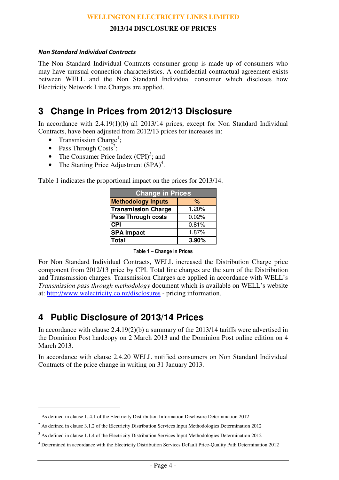#### Non Standard Individual Contracts

The Non Standard Individual Contracts consumer group is made up of consumers who may have unusual connection characteristics. A confidential contractual agreement exists between WELL and the Non Standard Individual consumer which discloses how Electricity Network Line Charges are applied.

# **3 Change in Prices from 2012/13 Disclosure**

In accordance with 2.4.19(1)(b) all 2013/14 prices, except for Non Standard Individual Contracts, have been adjusted from 2012/13 prices for increases in:

- Transmission Charge<sup>1</sup>;
- Pass Through  $\text{Costs}^2$ ;

 $\overline{a}$ 

- The Consumer Price Index  $(CPI)^3$ ; and
- The Starting Price Adjustment  $(SPA)^4$ .

Table 1 indicates the proportional impact on the prices for 2013/14.

| <b>Change in Prices</b>    |       |  |  |  |  |  |  |
|----------------------------|-------|--|--|--|--|--|--|
| <b>Methodology Inputs</b>  | ℅     |  |  |  |  |  |  |
| <b>Transmission Charge</b> | 1.20% |  |  |  |  |  |  |
| <b>Pass Through costs</b>  | 0.02% |  |  |  |  |  |  |
| <b>CPI</b>                 | 0.81% |  |  |  |  |  |  |
| <b>SPA Impact</b>          | 1.87% |  |  |  |  |  |  |
| <b>Total</b>               | 3.90% |  |  |  |  |  |  |

Table 1 – Change in Prices

For Non Standard Individual Contracts, WELL increased the Distribution Charge price component from 2012/13 price by CPI. Total line charges are the sum of the Distribution and Transmission charges. Transmission Charges are applied in accordance with WELL's *Transmission pass through methodology* document which is available on WELL's website at: http://www.welectricity.co.nz/disclosures - pricing information.

# **4 Public Disclosure of 2013/14 Prices**

In accordance with clause 2.4.19(2)(b) a summary of the 2013/14 tariffs were advertised in the Dominion Post hardcopy on 2 March 2013 and the Dominion Post online edition on 4 March 2013.

In accordance with clause 2.4.20 WELL notified consumers on Non Standard Individual Contracts of the price change in writing on 31 January 2013.

<sup>&</sup>lt;sup>1</sup> As defined in clause 1..4.1 of the Electricity Distribution Information Disclosure Determination 2012

<sup>&</sup>lt;sup>2</sup> As defined in clause 3.1.2 of the Electricity Distribution Services Input Methodologies Determination 2012

<sup>&</sup>lt;sup>3</sup> As defined in clause 1.1.4 of the Electricity Distribution Services Input Methodologies Determination 2012

<sup>4</sup> Determined in accordance with the Electricity Distribution Services Default Price-Quality Path Determination 2012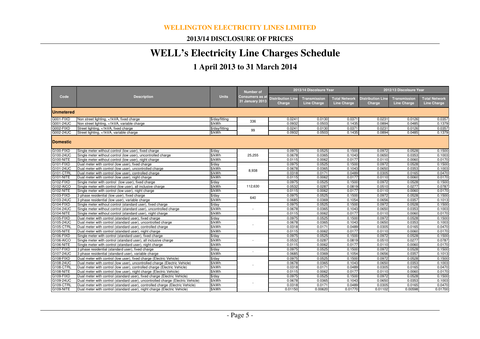## **2013/14 DISCLOSURE OF PRICES**

# **WELL's Electricity Line Charges Schedule**

# **1 April 2013 to 31 March 2014**

|                        | <b>Description</b>                                                                                                         | <b>Units</b>                 | <b>Number of</b><br><b>Consumers as a</b><br>31 January 2013 | 2013/14 Discolsure Year            |                                           |                                            | 2012/13 Discolsure Year            |                                           |                                            |  |
|------------------------|----------------------------------------------------------------------------------------------------------------------------|------------------------------|--------------------------------------------------------------|------------------------------------|-------------------------------------------|--------------------------------------------|------------------------------------|-------------------------------------------|--------------------------------------------|--|
| Code                   |                                                                                                                            |                              |                                                              | <b>Distribution Line</b><br>Charge | <b>Transmission</b><br><b>Line Charge</b> | <b>Total Network</b><br><b>Line Charge</b> | <b>Distribution Line</b><br>Charge | <b>Transmission</b><br><b>Line Charge</b> | <b>Total Network</b><br><b>Line Charge</b> |  |
| <b>Unmetered</b>       |                                                                                                                            |                              |                                                              |                                    |                                           |                                            |                                    |                                           |                                            |  |
| G001-FIXD              | Non street lighting, <1kVA, fixed charge                                                                                   | \$/day/fitting               |                                                              | 0.0241                             | 0.0130                                    | 0.0371                                     | 0.0231                             | 0.0126                                    | 0.0357                                     |  |
| G001-24UC              | Non street lighting, <1kVA, variable charge                                                                                | \$/kWh                       | 336                                                          | 0.0932                             | 0.0503                                    | 0.1435                                     | 0.0894                             | 0.0485                                    | 0.1379                                     |  |
| G002-FIXD              | Street lighting, <1kVA, fixed charge                                                                                       | \$/day/fitting               | 99                                                           | 0.0241                             | 0.0130                                    | 0.037                                      | 0.0231                             | 0.0126                                    | 0.0357                                     |  |
| G002-24UC              | Street lighting, <1kVA, variable charge                                                                                    | \$/kWh                       |                                                              | 0.0932                             | 0.0503                                    | 0.1435                                     | 0.0894                             | 0.0485                                    | 0.1379                                     |  |
| <b>Domestic</b>        |                                                                                                                            |                              |                                                              |                                    |                                           |                                            |                                    |                                           |                                            |  |
| G100-FIXD              | Single meter without control (low user), fixed charge                                                                      | $\frac{4}{3}$ /day           |                                                              | 0.0975                             | 0.0525                                    | 0.1500                                     | 0.0972                             | 0.0528                                    | 0.1500                                     |  |
| G100-24UC              | Single meter without control (low user), uncontrolled charge                                                               | \$/kWh                       | 25,255                                                       | 0.0678                             | 0.0365                                    | 0.1043                                     | 0.0650                             | 0.0353                                    | 0.1003                                     |  |
| G100-NITE              | Single meter without control (low user), night charge                                                                      | \$/kWh                       |                                                              | 0.0115                             | 0.0062                                    | 0.0177                                     | 0.0110                             | 0.0060                                    | 0.0170                                     |  |
| G101-FIXD              | Dual meter with control (low user), fixed charge                                                                           | $\frac{1}{2}$ day            |                                                              | 0.0975                             | 0.0525                                    | 0.1500                                     | 0.0972                             | 0.0528                                    | 0.1500                                     |  |
| G101-24UC              | Dual meter with control (low user), uncontrolled charge                                                                    | \$/kWh                       | 8,938                                                        | 0.0678                             | 0.0365                                    | 0.1043                                     | 0.0650                             | 0.0353                                    | 0.1003                                     |  |
| G101-CTRL              | Dual meter with control (low user), controlled charge                                                                      | \$/kWh                       |                                                              | 0.0318                             | 0.0171                                    | 0.0489                                     | 0.0305                             | 0.0165                                    | 0.0470                                     |  |
| G101-NITE              | Dual meter with control (low user), night charge                                                                           | \$/kWh                       |                                                              | 0.0115                             | 0.0062                                    | 0.0177                                     | 0.0110                             | 0.0060                                    | 0.0170                                     |  |
| G102-FIXD              | Single meter with control (low user), fixed charge                                                                         | $\sqrt{$4av}$                |                                                              | 0.0975                             | 0.0525                                    | 0.1500                                     | 0.0972                             | 0.0528                                    | 0.1500                                     |  |
| G102-AICO              | Single meter with control (low user), all inclusive charge                                                                 | \$/kWh                       | 112,630                                                      | 0.0532                             | 0.0287                                    | 0.0819                                     | 0.0510                             | 0.0277                                    | 0.0787                                     |  |
| G102-NITE              | Single meter with control (low user), night charge                                                                         | \$/kWh                       |                                                              | 0.0115                             | 0.0062                                    | 0.0177                                     | 0.0110                             | 0.0060                                    | 0.0170                                     |  |
| G103-FIXD              | 3 phase residential (low user), fixed charge                                                                               | $\frac{d}{dx}$               | 640                                                          | 0.0975                             | 0.0525                                    | 0.1500                                     | 0.0972                             | 0.0528                                    | 0.1500                                     |  |
| G103-24UC              | 3 phase residential (low user), variable charge                                                                            | \$/kWh                       |                                                              | 0.0685                             | 0.0369                                    | 0.1054                                     | 0.0656                             | 0.0357                                    | 0.1013                                     |  |
| G104-FIXD              | Single meter without control (standard user), fixed charge                                                                 | \$/day                       |                                                              | 0.0975                             | 0.0525                                    | 0.1500                                     | 0.0972                             | 0.0528                                    | 0.1500                                     |  |
| G104-24UC              | Single meter without control (standard user), uncontrolled charge                                                          | \$/kWh                       |                                                              | 0.0678                             | 0.0365                                    | 0.1043                                     | 0.0650                             | 0.0353                                    | 0.1003                                     |  |
| G104-NITE              | Single meter without control (standard user), night charge                                                                 | \$/kWh                       |                                                              | 0.0115                             | 0.0062                                    | 0.0177                                     | 0.0110                             | 0.0060                                    | 0.0170                                     |  |
| G105-FIXD              | Dual meter with control (standard user), fixed charge                                                                      | $\frac{d}{dx}$               |                                                              | 0.0975                             | 0.0525                                    | 0.1500                                     | 0.0972                             | 0.0528                                    | 0.1500                                     |  |
| G105-24UC              | Dual meter with control (standard user), uncontrolled charge                                                               | \$/kWh                       |                                                              | 0.0678                             | 0.0365                                    | 0.1043                                     | 0.0650                             | 0.0353                                    | 0.1003                                     |  |
| G105-CTRL              | Dual meter with control (standard user), controlled charge                                                                 | \$/kWh                       |                                                              | 0.0318                             | 0.0171                                    | 0.0489                                     | 0.0305                             | 0.0165                                    | 0.0470                                     |  |
| G105-NITE              | Dual meter with control (standard user), night charge                                                                      | \$/kWh                       |                                                              | 0.0115                             | 0.0062                                    | 0.0177                                     | 0.0110                             | 0.0060                                    | 0.0170                                     |  |
| G106-FIXD<br>G106-AICO | Single meter with control (standard user), fixed charge                                                                    | $\frac{1}{2}$ /day<br>\$/kWh |                                                              | 0.0975<br>0.0532                   | 0.0525<br>0.0287                          | 0.1500<br>0.0819                           | 0.0972<br>0.0510                   | 0.0528<br>0.0277                          | 0.1500<br>0.0787                           |  |
| G106-NITE              | Single meter with control (standard user), all inclusive charge<br>Single meter with control (standard user), night charge | \$/kWh                       |                                                              | 0.0115                             | 0.0062                                    | 0.0177                                     | 0.0110                             | 0.0060                                    | 0.0170                                     |  |
| G107-FIXD              |                                                                                                                            |                              |                                                              | 0.0975                             | 0.0525                                    | 0.1500                                     | 0.0972                             | 0.0528                                    | 0.1500                                     |  |
| G107-24UC              | 3 phase residential (standard user), fixed charge<br>3 phase residential (standard user), variable charge                  | \$/day<br>\$/kWh             |                                                              | 0.0685                             | 0.0369                                    | 0.1054                                     | 0.0656                             | 0.0357                                    | 0.1013                                     |  |
| G108-FIXD              | Dual meter with control (low user), fixed charge (Electric Vehicle)                                                        | $$$ /dav                     |                                                              | 0.0975                             | 0.0525                                    | 0.1500                                     | 0.0972                             | 0.0528                                    | 0.1500                                     |  |
| G108-24UC              | Dual meter with control (low user), uncontrolled charge (Electric Vehicle)                                                 | \$/kWh                       |                                                              | 0.0678                             | 0.0365                                    | 0.1043                                     | 0.0650                             | 0.0353                                    | 0.1003                                     |  |
| G108-CTRL              | Dual meter with control (low user), controlled charge (Electric Vehicle)                                                   | \$/kWh                       |                                                              | 0.0318                             | 0.0171                                    | 0.0489                                     | 0.0305                             | 0.0165                                    | 0.0470                                     |  |
| G108-NITE              | Dual meter with control (low user), night charge (Electric Vehicle)                                                        | \$/kWh                       |                                                              | 0.0115                             | 0.0062                                    | 0.0177                                     | 0.0110                             | 0.0060                                    | 0.0170                                     |  |
| G109-FIXD              | Dual meter with control (standard user), fixed charge (Electric Vehicle)                                                   | $\frac{d}{dx}$               |                                                              | 0.0975                             | 0.0525                                    | 0.1500                                     | 0.0972                             | 0.0528                                    | 0.1500                                     |  |
| G109-24UC              | Dual meter with control (standard user), uncontrolled charge (Electric Vehicle)                                            | \$/kWh                       |                                                              | 0.0678                             | 0.0365                                    | 0.1043                                     | 0.0650                             | 0.0353                                    | 0.1003                                     |  |
| G109-CTRL              | Dual meter with control (standard user), controlled charge (Electric Vehicle)                                              | \$/kWh                       |                                                              | 0.0318                             | 0.0171                                    | 0.0489                                     | 0.0305                             | 0.0165                                    | 0.0470                                     |  |
| G109-NITE              | Dual meter with control (standard user), night charge (Electric Vehicle)                                                   | \$/kWh                       |                                                              | 0.01150                            | 0.00620                                   | 0.01770                                    | 0.01102                            | 0.00598                                   | 0.01700                                    |  |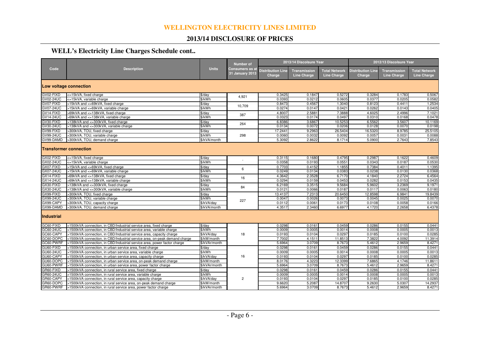## **2013/14 DISCLOSURE OF PRICES**

## **WELL's Electricity Line Charges Schedule cont..**

|                               | <b>Description</b>                                                                                                         | <b>Units</b>                 | <b>Number of</b><br>Consumers as at<br>31 January 2013 | 2013/14 Discolsure Year            |                                           |                                            | 2012/13 Discolsure Year            |                                    |                                            |
|-------------------------------|----------------------------------------------------------------------------------------------------------------------------|------------------------------|--------------------------------------------------------|------------------------------------|-------------------------------------------|--------------------------------------------|------------------------------------|------------------------------------|--------------------------------------------|
| Code                          |                                                                                                                            |                              |                                                        | <b>Distribution Line</b><br>Charge | <b>Transmission</b><br><b>Line Charge</b> | <b>Total Network</b><br><b>Line Charge</b> | <b>Distribution Line</b><br>Charge | <b>Transmission</b><br>Line Charge | <b>Total Network</b><br><b>Line Charge</b> |
| Low voltage connection        |                                                                                                                            |                              |                                                        |                                    |                                           |                                            |                                    |                                    |                                            |
| GV02-FIXD                     | <=15kVA, fixed charge                                                                                                      | \$/day                       | 4.921                                                  | 0.3425                             | 0.1847                                    | 0.5272                                     | 0.3284                             | 0.1783                             | 0.5067                                     |
| GV02-24UC                     | <=15kVA, variable charge                                                                                                   | \$/kWh                       |                                                        | 0.0393                             | 0.0212                                    | 0.0605                                     | 0.0377                             | 0.0205                             | 0.0582                                     |
| GV07-FIXD                     | >15kVA and <=69kVA, fixed charge                                                                                           | \$/day                       | 10.709                                                 | 0.8473                             | 0.4567                                    | 1.3040                                     | 0.8123                             | 0.4411                             | 1.2534                                     |
| <b>GV07-24UC</b>              | >15kVA and <=69kVA, variable charge                                                                                        | \$/kWh                       |                                                        | 0.0274                             | 0.0147                                    | 0.0421                                     | 0.0262                             | 0.0143                             | 0.0405                                     |
| GV14-FIXD                     | >69kVA and <=138kVA, fixed charge                                                                                          | \$/day                       | 387                                                    | 4.8007                             | 2.588                                     | 7.3888                                     | 4.6025                             | 2.4996                             | 7.1021                                     |
| GV14-24UC                     | >69kVA and <=138kVA, variable charge                                                                                       | \$/kWh                       |                                                        | 0.0323                             | 0.0174                                    | 0.0497                                     | 0.0310                             | 0.0168                             | 0.0478                                     |
| GV30-FIXD                     | >138kVA and <= 300kVA, fixed charge                                                                                        | $\sqrt{day}$                 | 264                                                    | 6.8386                             | 3.686                                     | 10.5253                                    | 6.5562                             | 3.5607                             | 10.1169                                    |
| GV30-24UC                     | >138kVA and <= 300kVA, variable charge                                                                                     | \$/kWh                       |                                                        | 0.0134                             | 0.0072                                    | 0.0206                                     | 0.0128                             | 0.0070                             | 0.0198                                     |
| GV99-FIXD                     | >300kVA, TOU, fixed charge                                                                                                 | \$/day                       |                                                        | 17.2441                            | 9.2963                                    | 26.5404                                    | 16.5320                            | 8.9785                             | 25.5105                                    |
| <b>GV99-24UC</b>              | >300kVA, TOU, variable charge                                                                                              | \$/kWh                       | 298                                                    | 0.0060                             | 0.0032                                    | 0.0092                                     | 0.0057                             | 0.0031                             | 0.0088                                     |
| GV99-DAMD                     | >300kVA, TOU, demand charge                                                                                                | \$/kVA/month                 |                                                        | 5.3092                             | 2.8622                                    | 8.1714                                     | 5.0900                             | 2.7643                             | 7.8543                                     |
|                               | <b>Transformer connection</b>                                                                                              |                              |                                                        |                                    |                                           |                                            |                                    |                                    |                                            |
| GX02-FIXD                     | <=15kVA, fixed charge                                                                                                      | $\frac{4}{3}$ /day           |                                                        | 0.3115                             | 0.1680                                    | 0.4795                                     | 0.2987                             | 0.1622                             | 0.4609                                     |
| GX02-24UC                     | <=15kVA, variable charge                                                                                                   | \$/kWh                       |                                                        | 0.0358                             | 0.0193                                    | 0.0551                                     | 0.0343                             | 0.0187                             | 0.0530                                     |
| GX07-FIXD                     | >15kVA and <=69kVA, fixed charge                                                                                           | \$/day                       | 6                                                      | 0.7703                             | 0.4152                                    | 1.1855                                     | 0.7384                             | 0.4011                             | 1.1395                                     |
| GX07-24UC                     | >15kVA and <=69kVA, variable charge                                                                                        | \$/kWh                       |                                                        | 0.0249                             | 0.0134                                    | 0.0383                                     | 0.0238                             | 0.0130                             | 0.0368                                     |
| GX14-FIXD                     | >69kVA and <=138kVA, fixed charge                                                                                          | \$/day                       | 16                                                     | 4.3642                             | 2.3528                                    | 6.7170                                     | 4.1840                             | 2.2724                             | 6.4564                                     |
| <b>GX14-24UC</b>              | >69kVA and <=138kVA, variable charge                                                                                       | \$/kWh                       |                                                        | 0.0294                             | 0.0159                                    | 0.0453                                     | 0.0282                             | 0.0153                             | 0.0435                                     |
| GX30-FIXD                     | >138kVA and <= 300kVA, fixed charge                                                                                        | $\sqrt{2}$                   | 84                                                     | 6.2169                             | 3.3515                                    | 9.5684                                     | 5.9602                             | 3.2369                             | 9.1971                                     |
| GX30-24UC                     | >138kVA and <= 300kVA, variable charge                                                                                     | \$/kWh                       |                                                        | 0.0121                             | 0.0066                                    | 0.0187                                     | 0.0117                             | 0.0063                             | 0.0180                                     |
| GX99-FIXD                     | >300kVA, TOU, fixed charge                                                                                                 | \$/day                       |                                                        | 13.4137                            | 7.2313                                    | 20.6450                                    | 12.8598                            | 6.9841                             | 19.8439                                    |
| GX99-24UC                     | >300kVA, TOU, variable charge                                                                                              | \$/kWh                       | 227                                                    | 0.0047                             | 0.0026                                    | 0.0073                                     | 0.0045                             | 0.0025                             | 0.0070                                     |
| GX99-CAPY                     | >300kVA, TOU, capacity charge                                                                                              | \$/kVA/day                   |                                                        | 0.0112                             | 0.006                                     | 0.0173                                     | 0.0108                             | 0.0058                             | 0.0166                                     |
| GX99-DAMD                     | >300kVA, TOU, demand charge                                                                                                | \$/kVA/month                 |                                                        | 4.3517                             | 2.3460                                    | 6.6977                                     | 4.1720                             | 2.2658                             | 6.4378                                     |
| <b>Industrial</b>             |                                                                                                                            |                              |                                                        |                                    |                                           |                                            |                                    |                                    |                                            |
| GC60-FIXD                     | >1500kVA connection, in CBD/Industrial service area, fixed charge                                                          | \$/day                       |                                                        | 0.0298                             | 0.0161                                    | 0.0459                                     | 0.0286                             | 0.0155                             | 0.0441                                     |
| GC60-24UC                     | >1500kVA connection, in CBD/Industrial service area, variable charge                                                       | \$/kWh                       | 18                                                     | 0.0009                             | 0.0005                                    | 0.0014                                     | 0.0008                             | 0.0005                             | 0.0013                                     |
| GC60-CAPY                     | >1500kVA connection, in CBD/Industrial service area, capacity charge                                                       | \$/kVA/day                   |                                                        | 0.0193                             | 0.0104                                    | 0.0297                                     | 0.0185                             | 0.0100                             | 0.0285                                     |
| GC60-DOPC<br>GC60-PWRF        | >1500kVA connection, in CBD/Industrial service area, on-peak demand charge                                                 | \$/kW/month<br>\$/kVAr/month |                                                        | 7.7002<br>5.6964                   | 4.1511<br>3.0709                          | 11.8513<br>8.7673                          | 7.3822<br>5.4612                   | 4.0092<br>2.9659                   | 11.3914<br>8.4271                          |
|                               | >1500kVA connection, in CBD/Industrial service area, power factor charge                                                   |                              |                                                        |                                    |                                           |                                            |                                    |                                    |                                            |
| GU60-FIXD<br><b>GU60-24UC</b> | >1500kVA connection, in urban service area, fixed charge                                                                   | \$/day<br>\$/kWh             | 16                                                     | 0.0298<br>0.0009                   | 0.016<br>0.0005                           | 0.0459<br>0.0014                           | 0.0286<br>0.0008                   | 0.0155<br>0.0005                   | 0.0441<br>0.0013                           |
| GU60-CAPY                     | >1500kVA connection, in urban service area, variable charge<br>>1500kVA connection, in urban service area, capacity charge | \$/kVA/day                   |                                                        | 0.0193                             | 0.0104                                    | 0.0297                                     | 0.0185                             | 0.0100                             | 0.0285                                     |
| GU60-DOPC                     | >1500kVA connection, in urban service area, on-peak demand charge                                                          | \$/kW/month                  |                                                        | 8.0176                             | 4.3223                                    | 12.3399                                    | 7.6865                             | 4.1746                             | 11.8611                                    |
| GU60-PWRF                     | >1500kVA connection, in urban service area, power factor charge                                                            | \$/kVAr/month                |                                                        | 5.6964                             | 3.0709                                    | 8.7673                                     | 5.4612                             | 2.9659                             | 8.4271                                     |
| GR60-FIXD                     | >1500kVA connection, in rural service area, fixed charge                                                                   | \$/day                       |                                                        | 0.0298                             | 0.0161                                    | 0.0459                                     | 0.0286                             | 0.0155                             | 0.0441                                     |
| GR60-24UC                     | >1500kVA connection, in rural service area, variable charge                                                                | \$/kWh                       |                                                        | 0.0009                             | 0.0005                                    | 0.0014                                     | 0.0008                             | 0.0005                             | 0.0013                                     |
| GR60-CAPY                     | >1500kVA connection, in rural service area, capacity charge                                                                | \$/kVA/day                   | $\overline{c}$                                         | 0.0193                             | 0.0104                                    | 0.0297                                     | 0.0185                             | 0.0100                             | 0.0285                                     |
| GR60-DOPC                     | >1500kVA connection, in rural service area, on-peak demand charge                                                          | \$/kW/month                  |                                                        | 9.6620                             | 5.2087                                    | 14.8707                                    | 9.2630                             | 5.0307                             | 14.2937                                    |
| GR60-PWRF                     | >1500kVA connection, in rural service area, power factor charge                                                            | \$/kVAr/month                |                                                        | 5.6964                             | 3.0709                                    | 8.7673                                     | 5.4612                             | 2.9659                             | 8.4271                                     |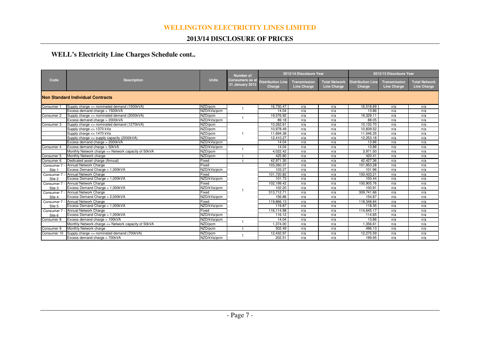## **2013/14 DISCLOSURE OF PRICES**

## **WELL's Electricity Line Charges Schedule cont..**

| Code                  | <b>Description</b>                                  | <b>Units</b> | <b>Number of</b><br>Consumers as a<br>31 January 2013 | 2013/14 Discolsure Year            |                                           |                                     | 2012/13 Discolsure Year            |                                    |                                            |
|-----------------------|-----------------------------------------------------|--------------|-------------------------------------------------------|------------------------------------|-------------------------------------------|-------------------------------------|------------------------------------|------------------------------------|--------------------------------------------|
|                       |                                                     |              |                                                       | <b>Distribution Line</b><br>Charge | <b>Transmission</b><br><b>Line Charge</b> | <b>Total Network</b><br>Line Charge | <b>Distribution Line</b><br>Charge | Transmission<br><b>Line Charge</b> | <b>Total Network</b><br><b>Line Charge</b> |
|                       | Non Standard Individual Contracts                   |              |                                                       |                                    |                                           |                                     |                                    |                                    |                                            |
| Consumer 1            | Supply charge <= nominated demand (1500kVA)         | NZD/pcm      |                                                       | 16.730.47                          | n/a                                       | n/a                                 | 16.518.69                          | n/a                                | n/a                                        |
|                       | Excess demand charge > 1500kVA                      | NZD/kVa/pcm  |                                                       | 14.04                              | n/a                                       | n/a                                 | 13.86                              | n/a                                | n/a                                        |
| Consumer 2            | Supply charge <= nominated demand (2000kVA)         | NZD/pcm      |                                                       | 19,576.92                          | n/a                                       | n/a                                 | 19,329.11                          | n/a                                | n/a                                        |
|                       | Excess demand charge > 2000kVA                      | NZD/kVa/pcm  |                                                       | 89.18                              | n/a                                       | n/a                                 | 88.05                              | n/a                                | n/a                                        |
| Consumer 3            | Supply charge <= nominated demand (1270kVA)         | NZD/pcm      |                                                       | 10.262.61                          | n/a                                       | n/a                                 | 10.132.70                          | n/a                                | n/a                                        |
|                       | Supply charge <= 1370 kVa                           | NZD/pcm      |                                                       | 10,978.49                          | n/a                                       | n/a                                 | 10,839.52                          | n/a                                | n/a                                        |
|                       | Supply charge <= 1470 kVa                           | NZD/pcm      |                                                       | 11,694.38                          | n/a                                       | n/a                                 | 11,546.35                          | n/a                                | n/a                                        |
|                       | Supply charge $\leq$ supply capacity (2000kVA)      | NZD/pcm      |                                                       | 12,410.27                          | n/a                                       | n/a                                 | 12,253.18                          | n/a                                | n/a                                        |
|                       | Excess demand charge > 2000kVA                      | NZD/kVa/pcm  |                                                       | 14.04                              | n/a                                       | n/a                                 | 13.86                              | n/a                                | n/a                                        |
| Consumer 4            | Excess demand charge > 50kVA                        | NZD/kVa/pcm  |                                                       | 14.04                              | n/a                                       | n/a                                 | 13.86                              | n/a                                | n/a                                        |
|                       | Monthly Network charge <= Network capacity of 50kVA | NZD/pcm      |                                                       | 4.022.42                           | n/a                                       | n/a                                 | 3,971.50                           | n/a                                | n/a                                        |
| Consumer 5            | Monthly Network charge                              | NZD/pcm      |                                                       | 425.80                             | n/a                                       | n/a                                 | 420.41                             | n/a                                | n/a                                        |
| Consumer 6            | Dedicated asset charge (Annual)                     | Fixed        |                                                       | 42,971.30                          | n/a                                       | n/a                                 | 42,427.36                          | n/a                                | n/a                                        |
| Consumer 7            | Annual Network Charge                               | Fixed        |                                                       | 103.260.37                         | n/a                                       | n/a                                 | 101.953.28                         | n/a                                | n/a                                        |
| Site 1                | Excess Demand Charge > 1,000kVA                     | NZD/kVa/pcm  |                                                       | 103.27                             | n/a                                       | n/a                                 | 101.96                             | n/a                                | n/a                                        |
| Consumer 7            | Annual Network Charge                               | Fixed        |                                                       | 101,720.82                         | n/a                                       | n/a                                 | 100,433.21                         | n/a                                | n/a                                        |
| Site 2                | Excess Demand Charge > 1,000kVA                     | NZD/kVa/pcm  |                                                       | 101.73                             | n/a                                       | n/a                                 | 100.44                             | n/a                                | n/a                                        |
| Consumer 7            | Annual Network Charge                               | Fixed        |                                                       | 102,199.42                         | n/a                                       | n/a                                 | 100,905.76                         | n/a                                | n/a                                        |
| Site 3                | Excess Demand Charge > 1,000kVA                     | NZD/kVa/pcm  |                                                       | 102.20                             | n/a                                       | n/a                                 | 100.91                             | n/a                                | n/a                                        |
| Consumer 7            | <b>Annual Network Charge</b>                        | Fixed        |                                                       | 313,712.71                         | n/a                                       | n/a                                 | 309,741.66                         | n/a                                | n/a                                        |
| Site 4                | Excess Demand Charge > 2,000kVA                     | NZD/kVa/pcm  |                                                       | 156.86                             | n/a                                       | n/a                                 | 154.87                             | n/a                                | n/a                                        |
| Consumer 7            | Annual Network Charge                               | Fixed        |                                                       | 119,866.13                         | n/a                                       | n/a                                 | 118.348.84                         | n/a                                | n/a                                        |
| Site 5                | Excess Demand Charge > 1,000kVA                     | NZD/kVa/pcm  |                                                       | 119.87                             | n/a                                       | n/a                                 | 118.35                             | n/a                                | n/a                                        |
| Consumer <sub>7</sub> | Annual Network Charge                               | Fixed        |                                                       | 116.114.98                         | n/a                                       | n/a                                 | 114,645.17                         | n/a                                | n/a                                        |
| Site 6                | Excess Demand Charge > 1,000kVA                     | NZD/kVa/pcm  |                                                       | 116.12                             | n/a                                       | n/a                                 | 114.65                             | n/a                                | n/a                                        |
| Consumer 8            | Excess demand charge > 100kVA                       | NZD/kVa/pcm  |                                                       | 14.04                              | n/a                                       | n/a                                 | 13.86                              | n/a                                | n/a                                        |
|                       | Monthly Network charge <= Network capacity of 50kVA | NZD/pcm      |                                                       | 1,374.00                           | n/a                                       | n/a                                 | 1,356.61                           | n/a                                | n/a                                        |
| Consumer 9            | Monthly Network charge                              | NZD/pcm      | $\mathbf{1}$                                          | 502.49                             | n/a                                       | n/a                                 | 496.13                             | n/a                                | n/a                                        |
| Consumer 10           | Supply charge <= nominated demand (700kVA)          | NZD/pcm      |                                                       | 12,432.97                          | n/a                                       | n/a                                 | 12,275.59                          | n/a                                | n/a                                        |
|                       | Excess demand charge > 700kVA                       | NZD/kVa/pcm  |                                                       | 202.51                             | n/a                                       | n/a                                 | 199.95                             | n/a                                | n/a                                        |